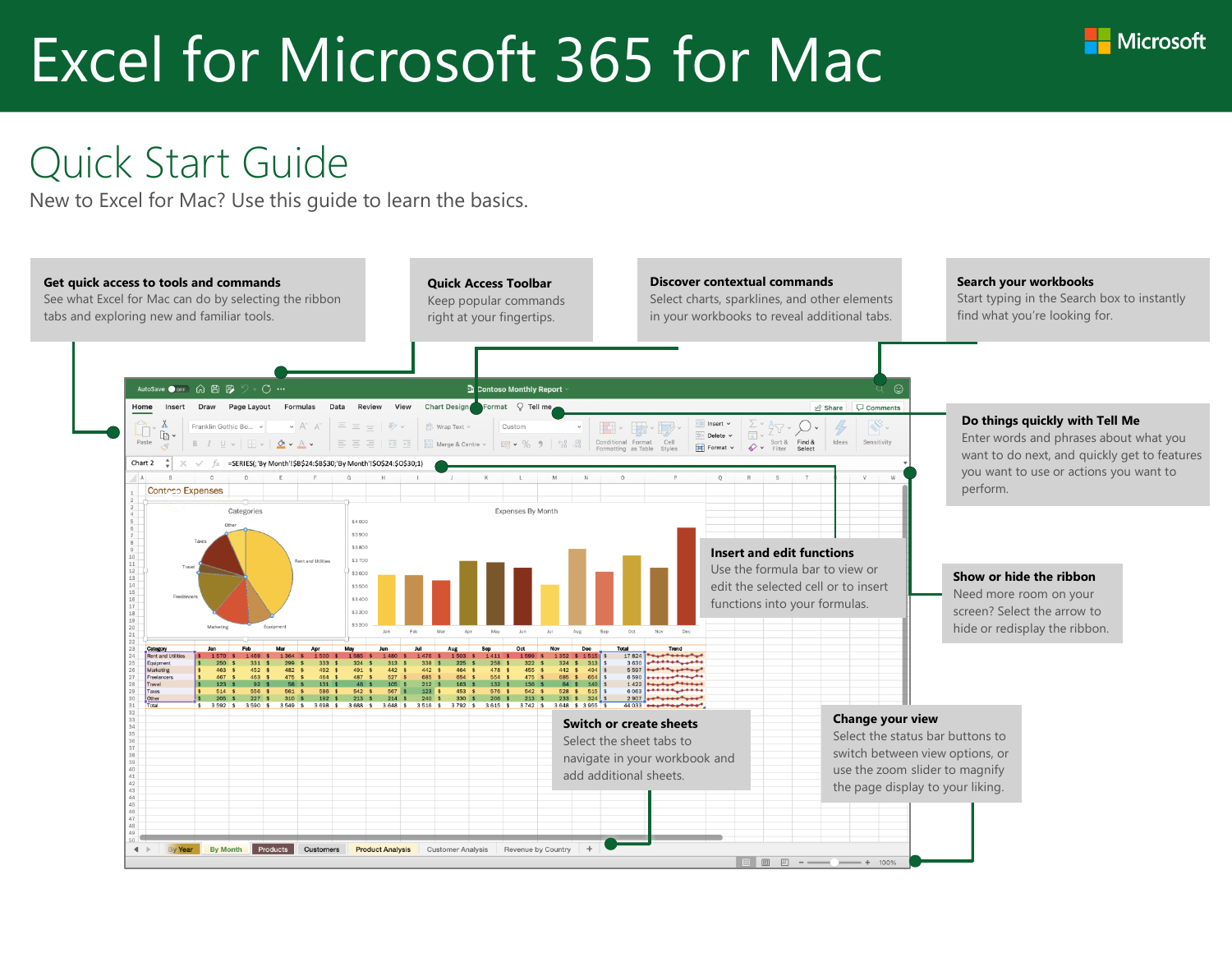

#### Quick Start Guide

New to Excel for Mac? Use this guide to learn the basics.

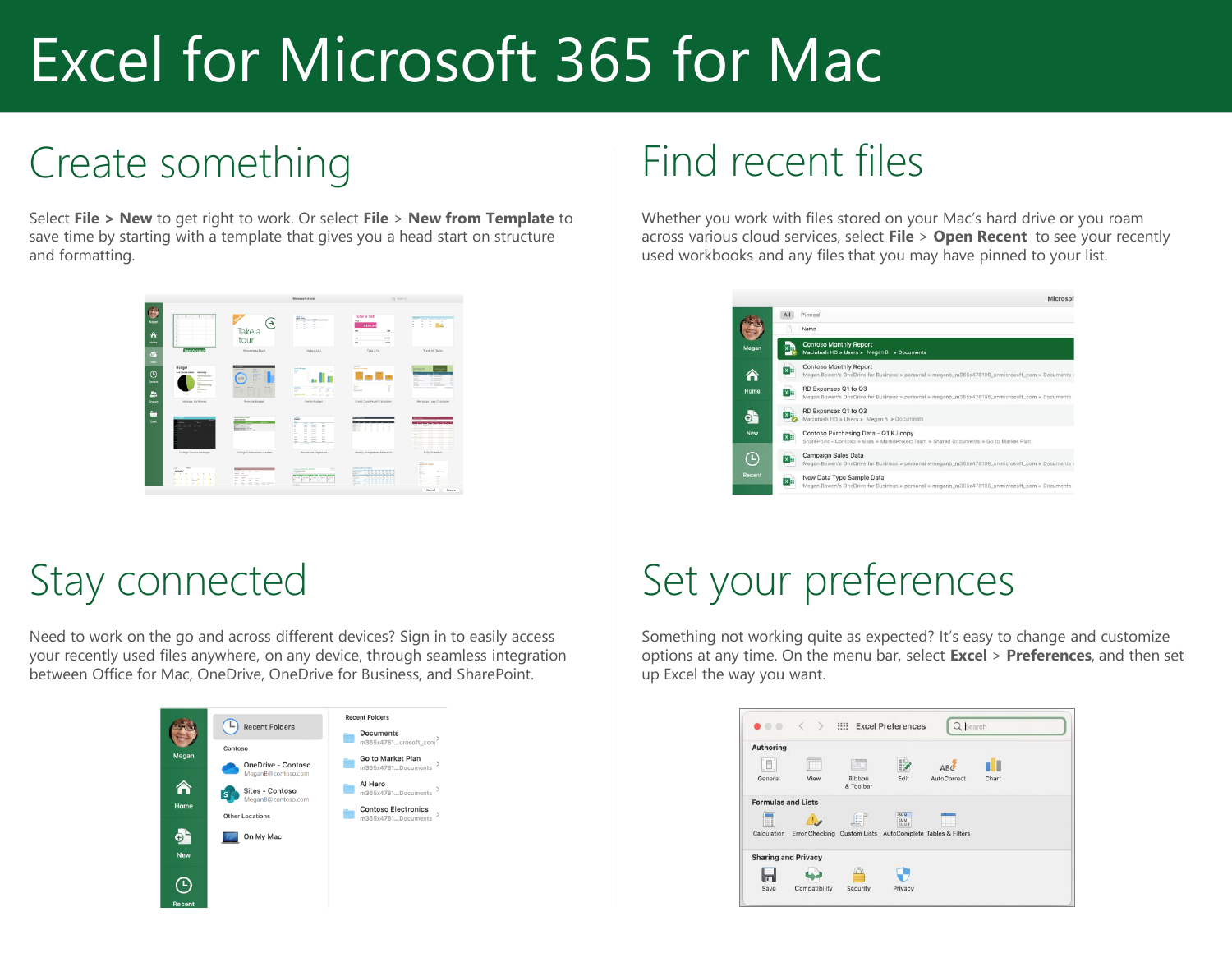## Create something

Select **File > New** to get right to work. Or select **File** > **New from Template** to save time by starting with a template that gives you a head start on structure and formatting.



#### Stay connected

Need to work on the go and across different devices? Sign in to easily access your recently used files anywhere, on any device, through seamless integration between Office for Mac, OneDrive, OneDrive for Business, and SharePoint.



#### Find recent files

Whether you work with files stored on your Mac's hard drive or you roam across various cloud services, select **File** > **Open Recent** to see your recently used workbooks and any files that you may have pinned to your list.

|            | Microsof                                                                                                                       |
|------------|--------------------------------------------------------------------------------------------------------------------------------|
|            | All<br>Pinned                                                                                                                  |
|            | Name                                                                                                                           |
| Megan      | <b>Contoso Monthly Report</b><br>Macintosh HD » Users » Megan B » Documents                                                    |
|            | Contoso Monthly Report<br>Megan Bowen's OneDrive for Business » personal » meganb_m365x478196_onmicrosoft_com » Documents »    |
| Home       | RD Expenses Q1 to Q3<br>x⊫<br>Megan Bowen's OneDrive for Business » personal » meganb_m365x478196_onmicrosoft_com » Documents  |
| ĐT         | RD Expenses Q1 to Q3<br>Macintosh HD » Users » Megan B » Documents                                                             |
| <b>New</b> | Contoso Purchasing Data - Q1 KJ copy<br>SharePoint - Contoso » sites » Mark8ProjectTeam » Shared Documents » Go to Market Plan |
| e          | Campaign Sales Data<br>Megan Bowen's OneDrive for Business » personal » meganb_m365x478196_onmicrosoft_com » Documents »       |
| Recent     | New Data Type Sample Data<br>Megan Bowen's OneDrive for Business » personal » meganb_m365x478196_onmicrosoft_com » Documents   |

## Set your preferences

Something not working quite as expected? It's easy to change and customize options at any time. On the menu bar, select **Excel** > **Preferences**, and then set up Excel the way you want.

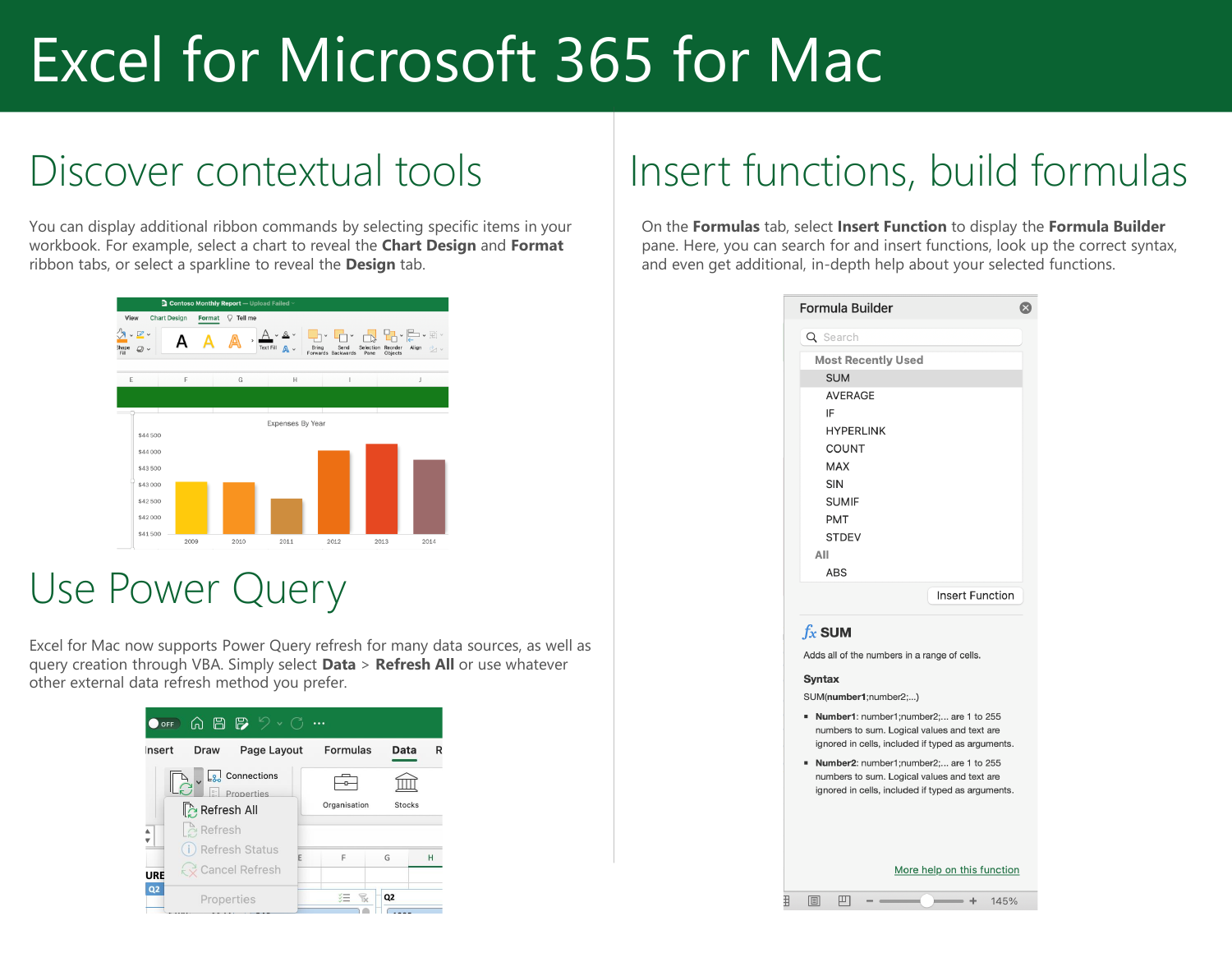#### Discover contextual tools

You can display additional ribbon commands by selecting specific items in your workbook. For example, select a chart to reveal the **Chart Design** and **Format** ribbon tabs, or select a sparkline to reveal the **Design** tab.



#### Use Power Query

Excel for Mac now supports Power Query refresh for many data sources, as well as query creation through VBA. Simply select **Data** > **Refresh All** or use whatever other external data refresh method you prefer.

| $\begin{array}{c} \text{A} \text{B} \text{B} \text{C} \end{array} \begin{array}{c} \text{A} \text{C} \end{array}$<br><b>OFF</b> |                               |  |  |  |  |  |
|---------------------------------------------------------------------------------------------------------------------------------|-------------------------------|--|--|--|--|--|
| nsert<br>Page Layout<br>Draw                                                                                                    | Formulas<br>Data<br>R         |  |  |  |  |  |
| $\boxed{8}$ Connections<br>$\left  \cdot \right $ Properties<br>Refresh All                                                     | Organisation<br><b>Stocks</b> |  |  |  |  |  |
| $\hat{C}$ Refresh<br>(i) Refresh Status<br>₹ Cancel Refresh<br>URE                                                              | F<br>G<br>Н                   |  |  |  |  |  |
| Q2<br>Properties                                                                                                                | Q <sub>2</sub>                |  |  |  |  |  |

## Insert functions, build formulas

On the **Formulas** tab, select **Insert Function** to display the **Formula Builder**  pane. Here, you can search for and insert functions, look up the correct syntax, and even get additional, in-depth help about your selected functions.

| Q Search                                                                                                                                   |  |
|--------------------------------------------------------------------------------------------------------------------------------------------|--|
|                                                                                                                                            |  |
| <b>Most Recently Used</b>                                                                                                                  |  |
| <b>SUM</b>                                                                                                                                 |  |
| <b>AVERAGE</b>                                                                                                                             |  |
| IF                                                                                                                                         |  |
| <b>HYPERLINK</b>                                                                                                                           |  |
| <b>COUNT</b>                                                                                                                               |  |
| <b>MAX</b>                                                                                                                                 |  |
| <b>SIN</b>                                                                                                                                 |  |
| <b>SUMIF</b>                                                                                                                               |  |
| <b>PMT</b>                                                                                                                                 |  |
| <b>STDEV</b>                                                                                                                               |  |
| All                                                                                                                                        |  |
| <b>ABS</b>                                                                                                                                 |  |
| <b>Insert Function</b>                                                                                                                     |  |
| $f_x$ SUM                                                                                                                                  |  |
| Adds all of the numbers in a range of cells.                                                                                               |  |
| Syntax                                                                                                                                     |  |
| SUM(number1;number2;)                                                                                                                      |  |
| Number1: number1;number2; are 1 to 255<br>numbers to sum. Logical values and text are<br>ignored in cells, included if typed as arguments. |  |
| Number2: number1;number2; are 1 to 255<br>numbers to sum. Logical values and text are<br>ignored in cells, included if typed as arguments. |  |
| More help on this function                                                                                                                 |  |